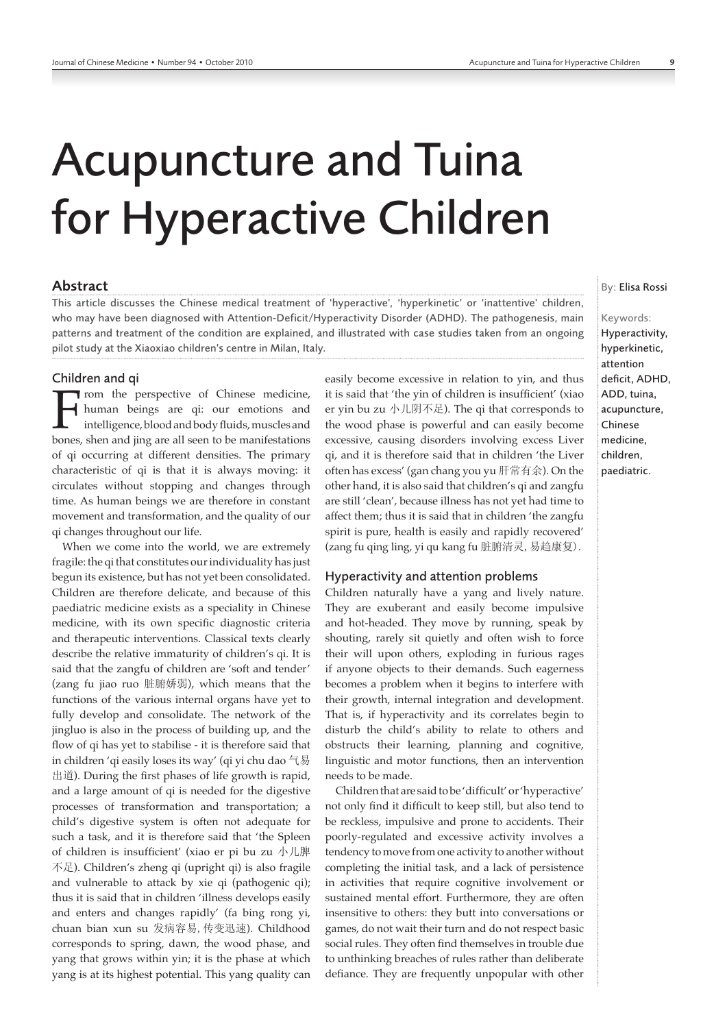# Acupuncture and Tuina for Hyperactive Children

# Abstract

This article discusses the Chinese medical treatment of 'hyperactive', 'hyperkinetic' or 'inattentive' children, who may have been diagnosed with Attention-Deficit/Hyperactivity Disorder (ADHD). The pathogenesis, main patterns and treatment of the condition are explained, and illustrated with case studies taken from an ongoing pilot study at the Xiaoxiao children's centre in Milan, Italy.

#### Children and qi

From the perspective of Chinese medicine,<br>human beings are qi: our emotions and<br>intelligence, blood and body fluids, muscles and<br>bones, shen and jing are all seen to be manifestations human beings are qi: our emotions and intelligence, blood and body fluids, muscles and bones, shen and jing are all seen to be manifestations of qi occurring at different densities. The primary characteristic of qi is that it is always moving: it circulates without stopping and changes through time. As human beings we are therefore in constant movement and transformation, and the quality of our qi changes throughout our life.

When we come into the world, we are extremely fragile: the qi that constitutes our individuality has just begun its existence, but has not yet been consolidated. Children are therefore delicate, and because of this paediatric medicine exists as a speciality in Chinese medicine, with its own specific diagnostic criteria and therapeutic interventions. Classical texts clearly describe the relative immaturity of children's qi. It is said that the zangfu of children are 'soft and tender' (zang fu jiao ruo 脏腑娇弱), which means that the functions of the various internal organs have yet to fully develop and consolidate. The network of the jingluo is also in the process of building up, and the flow of qi has yet to stabilise ‑ it is therefore said that in children 'qi easily loses its way' (qi yi chu dao 气易 出道). During the first phases of life growth is rapid, and a large amount of qi is needed for the digestive processes of transformation and transportation; a child's digestive system is often not adequate for such a task, and it is therefore said that 'the Spleen of children is insufficient' (xiao er pi bu zu 小儿脾 不足). Children's zheng qi (upright qi) is also fragile and vulnerable to attack by xie qi (pathogenic qi); thus it is said that in children 'illness develops easily and enters and changes rapidly' (fa bing rong yi, chuan bian xun su 发病容易,传变迅速). Childhood corresponds to spring, dawn, the wood phase, and yang that grows within yin; it is the phase at which yang is at its highest potential. This yang quality can easily become excessive in relation to yin, and thus it is said that 'the yin of children is insufficient' (xiao er yin bu zu 小儿阴不足). The qi that corresponds to the wood phase is powerful and can easily become excessive, causing disorders involving excess Liver qi, and it is therefore said that in children 'the Liver often has excess' (gan chang you yu 肝常有余). On the other hand, it is also said that children's qi and zangfu are still 'clean', because illness has not yet had time to affect them; thus it is said that in children 'the zangfu spirit is pure, health is easily and rapidly recovered' (zang fu qing ling, yi qu kang fu 脏腑清灵,易趋康复).

#### Hyperactivity and attention problems

Children naturally have a yang and lively nature. They are exuberant and easily become impulsive and hot-headed. They move by running, speak by shouting, rarely sit quietly and often wish to force their will upon others, exploding in furious rages if anyone objects to their demands. Such eagerness becomes a problem when it begins to interfere with their growth, internal integration and development. That is, if hyperactivity and its correlates begin to disturb the child's ability to relate to others and obstructs their learning, planning and cognitive, linguistic and motor functions, then an intervention needs to be made.

Children that are said to be 'difficult' or 'hyperactive' not only find it difficult to keep still, but also tend to be reckless, impulsive and prone to accidents. Their poorly‑regulated and excessive activity involves a tendency to move from one activity to another without completing the initial task, and a lack of persistence in activities that require cognitive involvement or sustained mental effort. Furthermore, they are often insensitive to others: they butt into conversations or games, do not wait their turn and do not respect basic social rules. They often find themselves in trouble due to unthinking breaches of rules rather than deliberate defiance. They are frequently unpopular with other

By: Elisa Rossi

### Keywords:

Hyperactivity, hyperkinetic, attention deficit, ADHD, ADD, tuina, acupuncture, Chinese medicine, children, paediatric.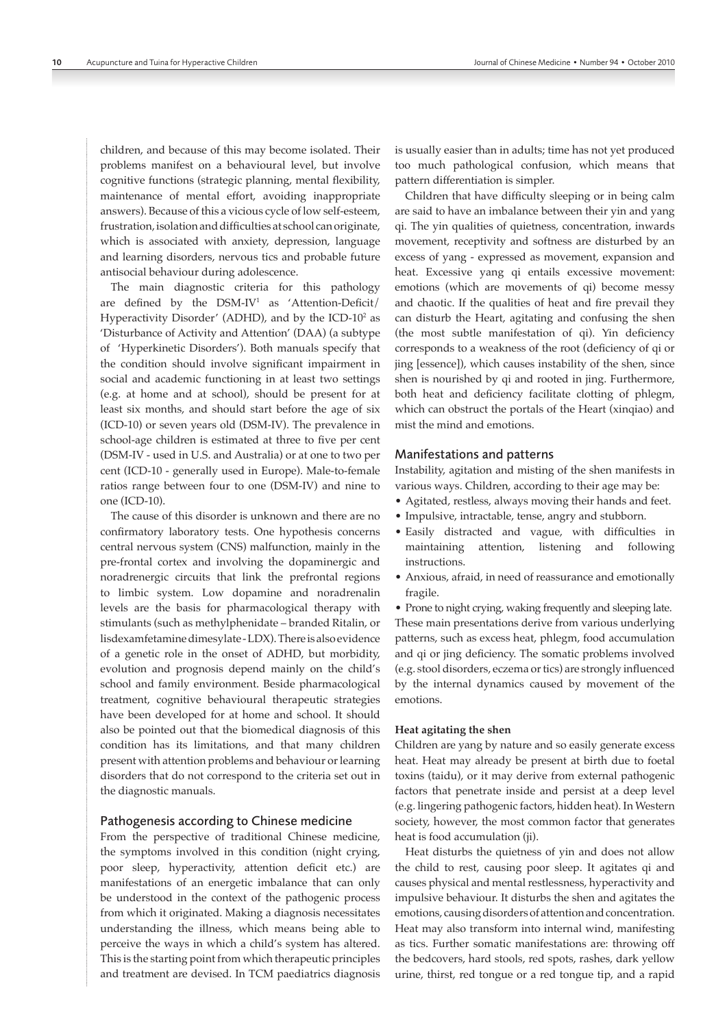children, and because of this may become isolated. Their problems manifest on a behavioural level, but involve cognitive functions (strategic planning, mental flexibility, maintenance of mental effort, avoiding inappropriate answers). Because of this a vicious cycle of low self‑esteem, frustration, isolation and difficulties at school can originate, which is associated with anxiety, depression, language and learning disorders, nervous tics and probable future antisocial behaviour during adolescence.

The main diagnostic criteria for this pathology are defined by the DSM‑IV<sup>1</sup> as 'Attention‑Deficit/ Hyperactivity Disorder' (ADHD), and by the ICD-10<sup>2</sup> as 'Disturbance of Activity and Attention' (DAA) (a subtype of 'Hyperkinetic Disorders'). Both manuals specify that the condition should involve significant impairment in social and academic functioning in at least two settings (e.g. at home and at school), should be present for at least six months, and should start before the age of six (ICD‑10) or seven years old (DSM‑IV). The prevalence in school-age children is estimated at three to five per cent (DSM‑IV ‑ used in U.S. and Australia) or at one to two per cent (ICD-10 - generally used in Europe). Male-to-female ratios range between four to one (DSM‑IV) and nine to one (ICD‑10).

The cause of this disorder is unknown and there are no confirmatory laboratory tests. One hypothesis concerns central nervous system (CNS) malfunction, mainly in the pre‑frontal cortex and involving the dopaminergic and noradrenergic circuits that link the prefrontal regions to limbic system. Low dopamine and noradrenalin levels are the basis for pharmacological therapy with stimulants (such as methylphenidate – branded Ritalin, or lisdexamfetamine dimesylate ‑ LDX). There is also evidence of a genetic role in the onset of ADHD, but morbidity, evolution and prognosis depend mainly on the child's school and family environment. Beside pharmacological treatment, cognitive behavioural therapeutic strategies have been developed for at home and school. It should also be pointed out that the biomedical diagnosis of this condition has its limitations, and that many children present with attention problems and behaviour or learning disorders that do not correspond to the criteria set out in the diagnostic manuals.

#### Pathogenesis according to Chinese medicine

From the perspective of traditional Chinese medicine, the symptoms involved in this condition (night crying, poor sleep, hyperactivity, attention deficit etc.) are manifestations of an energetic imbalance that can only be understood in the context of the pathogenic process from which it originated. Making a diagnosis necessitates understanding the illness, which means being able to perceive the ways in which a child's system has altered. This is the starting point from which therapeutic principles and treatment are devised. In TCM paediatrics diagnosis is usually easier than in adults; time has not yet produced too much pathological confusion, which means that pattern differentiation is simpler.

Children that have difficulty sleeping or in being calm are said to have an imbalance between their yin and yang qi. The yin qualities of quietness, concentration, inwards movement, receptivity and softness are disturbed by an excess of yang ‑ expressed as movement, expansion and heat. Excessive yang qi entails excessive movement: emotions (which are movements of qi) become messy and chaotic. If the qualities of heat and fire prevail they can disturb the Heart, agitating and confusing the shen (the most subtle manifestation of qi). Yin deficiency corresponds to a weakness of the root (deficiency of qi or jing [essence]), which causes instability of the shen, since shen is nourished by qi and rooted in jing. Furthermore, both heat and deficiency facilitate clotting of phlegm, which can obstruct the portals of the Heart (xinqiao) and mist the mind and emotions.

#### Manifestations and patterns

Instability, agitation and misting of the shen manifests in various ways. Children, according to their age may be:

- Agitated, restless, always moving their hands and feet.
- Impulsive, intractable, tense, angry and stubborn.
- Easily distracted and vague, with difficulties in maintaining attention, listening and following instructions.
- Anxious, afraid, in need of reassurance and emotionally fragile.

• Prone to night crying, waking frequently and sleeping late. These main presentations derive from various underlying patterns, such as excess heat, phlegm, food accumulation and qi or jing deficiency. The somatic problems involved (e.g. stool disorders, eczema or tics) are strongly influenced by the internal dynamics caused by movement of the emotions.

#### **Heat agitating the shen**

Children are yang by nature and so easily generate excess heat. Heat may already be present at birth due to foetal toxins (taidu), or it may derive from external pathogenic factors that penetrate inside and persist at a deep level (e.g. lingering pathogenic factors, hidden heat). In Western society, however, the most common factor that generates heat is food accumulation (ji).

Heat disturbs the quietness of yin and does not allow the child to rest, causing poor sleep. It agitates qi and causes physical and mental restlessness, hyperactivity and impulsive behaviour. It disturbs the shen and agitates the emotions, causing disorders of attention and concentration. Heat may also transform into internal wind, manifesting as tics. Further somatic manifestations are: throwing off the bedcovers, hard stools, red spots, rashes, dark yellow urine, thirst, red tongue or a red tongue tip, and a rapid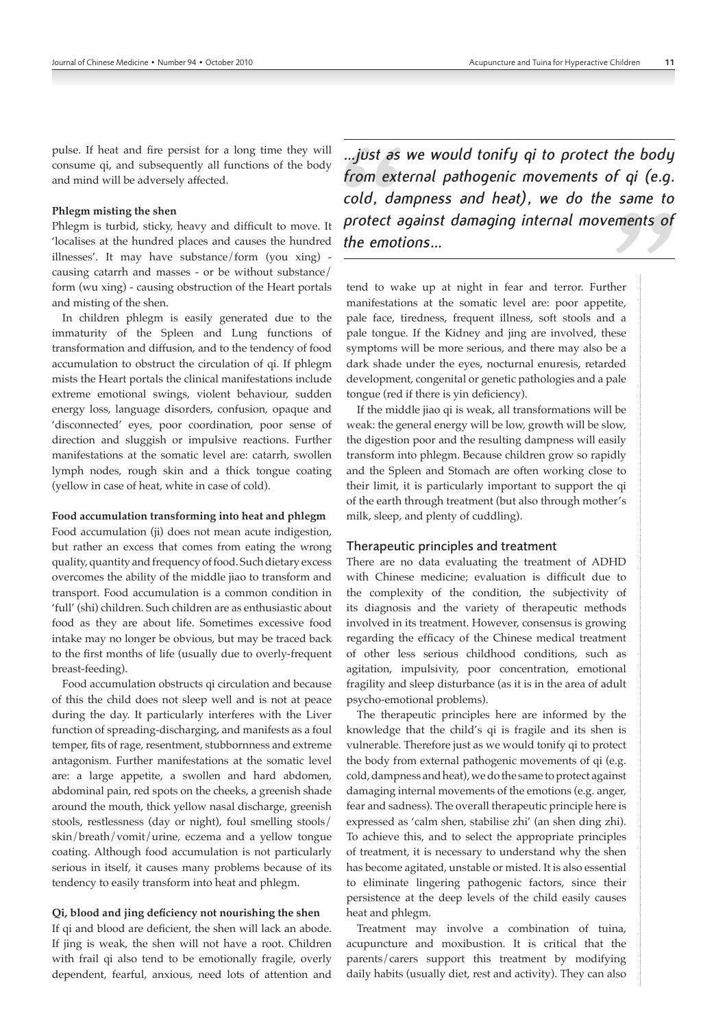pulse. If heat and fire persist for a long time they will consume qi, and subsequently all functions of the body and mind will be adversely affected.

#### **Phlegm misting the shen**

Phlegm is turbid, sticky, heavy and difficult to move. It 'localises at the hundred places and causes the hundred illnesses'. It may have substance/form (you xing) causing catarrh and masses ‑ or be without substance/ form (wu xing) ‑ causing obstruction of the Heart portals and misting of the shen.

In children phlegm is easily generated due to the immaturity of the Spleen and Lung functions of transformation and diffusion, and to the tendency of food accumulation to obstruct the circulation of qi. If phlegm mists the Heart portals the clinical manifestations include extreme emotional swings, violent behaviour, sudden energy loss, language disorders, confusion, opaque and 'disconnected' eyes, poor coordination, poor sense of direction and sluggish or impulsive reactions. Further manifestations at the somatic level are: catarrh, swollen lymph nodes, rough skin and a thick tongue coating (yellow in case of heat, white in case of cold).

#### **Food accumulation transforming into heat and phlegm**

Food accumulation (ji) does not mean acute indigestion, but rather an excess that comes from eating the wrong quality, quantity and frequency of food. Such dietary excess overcomes the ability of the middle jiao to transform and transport. Food accumulation is a common condition in 'full' (shi) children. Such children are as enthusiastic about food as they are about life. Sometimes excessive food intake may no longer be obvious, but may be traced back to the first months of life (usually due to overly‑frequent breast‑feeding).

Food accumulation obstructs qi circulation and because of this the child does not sleep well and is not at peace during the day. It particularly interferes with the Liver function of spreading‑discharging, and manifests as a foul temper, fits of rage, resentment, stubbornness and extreme antagonism. Further manifestations at the somatic level are: a large appetite, a swollen and hard abdomen, abdominal pain, red spots on the cheeks, a greenish shade around the mouth, thick yellow nasal discharge, greenish stools, restlessness (day or night), foul smelling stools/ skin/breath/vomit/urine, eczema and a yellow tongue coating. Although food accumulation is not particularly serious in itself, it causes many problems because of its tendency to easily transform into heat and phlegm.

#### **Qi, blood and jing deficiency not nourishing the shen**

If qi and blood are deficient, the shen will lack an abode. If jing is weak, the shen will not have a root. Children with frail qi also tend to be emotionally fragile, overly dependent, fearful, anxious, need lots of attention and

*…just as we would tonify qi to protect the body from external pathogenic movements of qi (e.g. cold, dampness and heat), we do the same to protect against damaging internal movements of the emotions…*

tend to wake up at night in fear and terror. Further manifestations at the somatic level are: poor appetite, pale face, tiredness, frequent illness, soft stools and a pale tongue. If the Kidney and jing are involved, these symptoms will be more serious, and there may also be a dark shade under the eyes, nocturnal enuresis, retarded development, congenital or genetic pathologies and a pale tongue (red if there is yin deficiency).

If the middle jiao qi is weak, all transformations will be weak: the general energy will be low, growth will be slow, the digestion poor and the resulting dampness will easily transform into phlegm. Because children grow so rapidly and the Spleen and Stomach are often working close to their limit, it is particularly important to support the qi of the earth through treatment (but also through mother's milk, sleep, and plenty of cuddling).

#### Therapeutic principles and treatment

There are no data evaluating the treatment of ADHD with Chinese medicine; evaluation is difficult due to the complexity of the condition, the subjectivity of its diagnosis and the variety of therapeutic methods involved in its treatment. However, consensus is growing regarding the efficacy of the Chinese medical treatment of other less serious childhood conditions, such as agitation, impulsivity, poor concentration, emotional fragility and sleep disturbance (as it is in the area of adult psycho‑emotional problems).

The therapeutic principles here are informed by the knowledge that the child's qi is fragile and its shen is vulnerable. Therefore just as we would tonify qi to protect the body from external pathogenic movements of qi (e.g. cold, dampness and heat), we do the same to protect against damaging internal movements of the emotions (e.g. anger, fear and sadness). The overall therapeutic principle here is expressed as 'calm shen, stabilise zhi' (an shen ding zhi). To achieve this, and to select the appropriate principles of treatment, it is necessary to understand why the shen has become agitated, unstable or misted. It is also essential to eliminate lingering pathogenic factors, since their persistence at the deep levels of the child easily causes heat and phlegm.

Treatment may involve a combination of tuina, acupuncture and moxibustion. It is critical that the parents/carers support this treatment by modifying daily habits (usually diet, rest and activity). They can also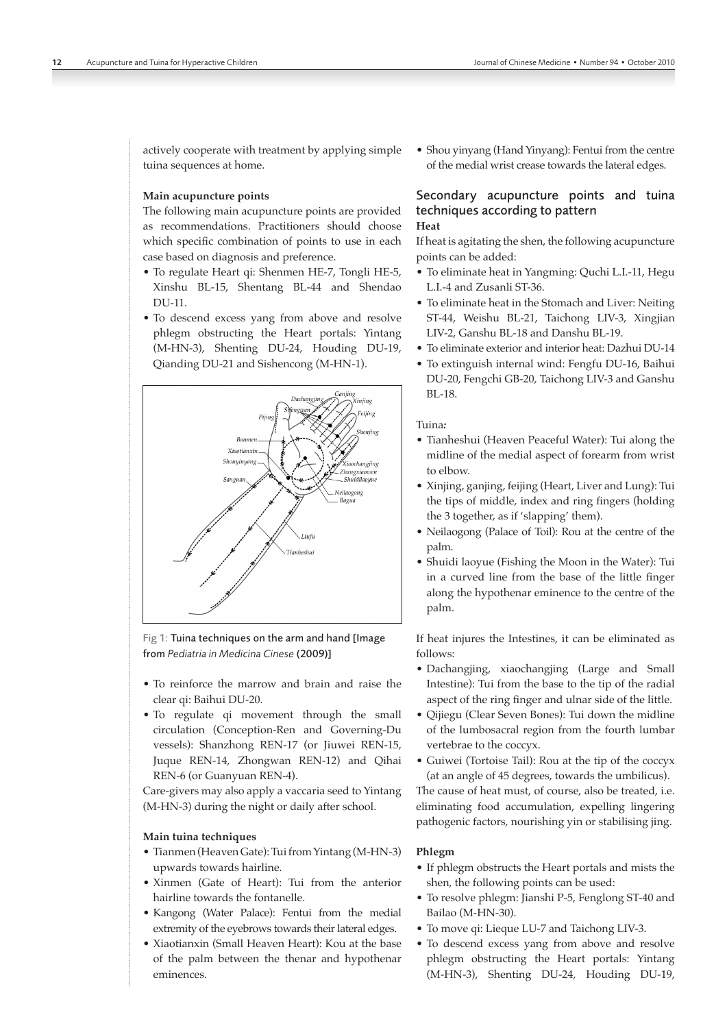actively cooperate with treatment by applying simple tuina sequences at home.

#### **Main acupuncture points**

The following main acupuncture points are provided as recommendations. Practitioners should choose which specific combination of points to use in each case based on diagnosis and preference.

- To regulate Heart qi: Shenmen HE‑7, Tongli HE‑5, Xinshu BL‑15, Shentang BL‑44 and Shendao DU‑11.
- To descend excess yang from above and resolve phlegm obstructing the Heart portals: Yintang (M‑HN‑3), Shenting DU‑24, Houding DU‑19, Qianding DU‑21 and Sishencong (M‑HN‑1).



Fig 1: Tuina techniques on the arm and hand [Image from *Pediatria in Medicina Cinese* (2009)]

- To reinforce the marrow and brain and raise the clear qi: Baihui DU‑20.
- To regulate qi movement through the small circulation (Conception‑Ren and Governing‑Du vessels): Shanzhong REN‑17 (or Jiuwei REN‑15, Juque REN‑14, Zhongwan REN‑12) and Qihai REN‑6 (or Guanyuan REN‑4).

Care‑givers may also apply a vaccaria seed to Yintang (M-HN-3) during the night or daily after school.

#### **Main tuina techniques**

- Tianmen (Heaven Gate): Tui from Yintang (M-HN-3) upwards towards hairline.
- Xinmen (Gate of Heart): Tui from the anterior hairline towards the fontanelle.
- Kangong (Water Palace): Fentui from the medial extremity of the eyebrows towards their lateral edges.
- Xiaotianxin (Small Heaven Heart): Kou at the base of the palm between the thenar and hypothenar eminences.

• Shou yinyang (Hand Yinyang): Fentui from the centre of the medial wrist crease towards the lateral edges.

# Secondary acupuncture points and tuina techniques according to pattern

## **Heat**

If heat is agitating the shen, the following acupuncture points can be added:

- To eliminate heat in Yangming: Quchi L.I.‑11, Hegu L.I.‑4 and Zusanli ST‑36.
- To eliminate heat in the Stomach and Liver: Neiting ST‑44, Weishu BL‑21, Taichong LIV‑3, Xingjian LIV-2, Ganshu BL-18 and Danshu BL-19.
- To eliminate exterior and interior heat: Dazhui DU‑14
- To extinguish internal wind: Fengfu DU‑16, Baihui DU‑20, Fengchi GB‑20, Taichong LIV‑3 and Ganshu BL‑18.

Tuina*:*

- Tianheshui (Heaven Peaceful Water): Tui along the midline of the medial aspect of forearm from wrist to elbow.
- Xinjing, ganjing, feijing (Heart, Liver and Lung): Tui the tips of middle, index and ring fingers (holding the 3 together, as if 'slapping' them).
- Neilaogong (Palace of Toil): Rou at the centre of the palm.
- Shuidi laoyue (Fishing the Moon in the Water): Tui in a curved line from the base of the little finger along the hypothenar eminence to the centre of the palm.

If heat injures the Intestines, it can be eliminated as follows:

- Dachangjing, xiaochangjing (Large and Small Intestine): Tui from the base to the tip of the radial aspect of the ring finger and ulnar side of the little.
- Qijiegu (Clear Seven Bones): Tui down the midline of the lumbosacral region from the fourth lumbar vertebrae to the coccyx.
- Guiwei (Tortoise Tail): Rou at the tip of the coccyx (at an angle of 45 degrees, towards the umbilicus).

The cause of heat must, of course, also be treated, i.e. eliminating food accumulation, expelling lingering pathogenic factors, nourishing yin or stabilising jing.

#### **Phlegm**

- If phlegm obstructs the Heart portals and mists the shen, the following points can be used:
- To resolve phlegm: Jianshi P‑5, Fenglong ST‑40 and Bailao (M-HN-30).
- To move qi: Lieque LU‑7 and Taichong LIV‑3.
- To descend excess yang from above and resolve phlegm obstructing the Heart portals: Yintang (M‑HN‑3), Shenting DU‑24, Houding DU‑19,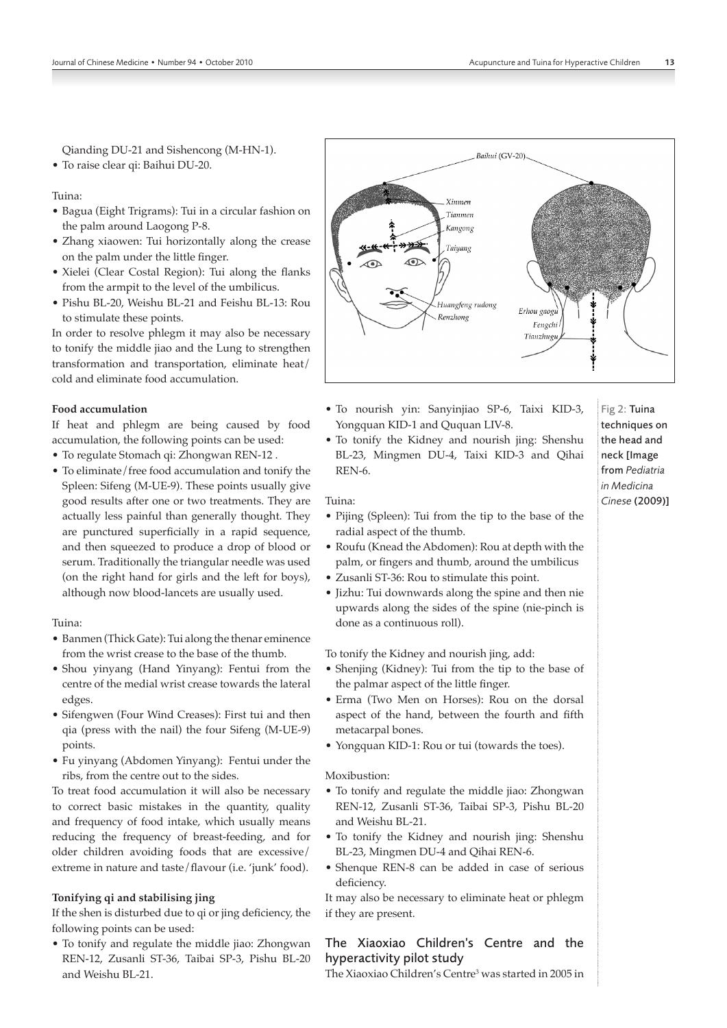Qianding DU‑21 and Sishencong (M‑HN‑1).

• To raise clear qi: Baihui DU‑20.

Tuina:

- Bagua (Eight Trigrams): Tui in a circular fashion on the palm around Laogong P‑8.
- Zhang xiaowen: Tui horizontally along the crease on the palm under the little finger.
- Xielei (Clear Costal Region): Tui along the flanks from the armpit to the level of the umbilicus.
- Pishu BL‑20, Weishu BL‑21 and Feishu BL‑13: Rou to stimulate these points.

In order to resolve phlegm it may also be necessary to tonify the middle jiao and the Lung to strengthen transformation and transportation, eliminate heat/ cold and eliminate food accumulation.

# **Food accumulation**

If heat and phlegm are being caused by food accumulation, the following points can be used:

- To regulate Stomach qi: Zhongwan REN‑12 .
- To eliminate/free food accumulation and tonify the Spleen: Sifeng (M-UE-9). These points usually give good results after one or two treatments. They are actually less painful than generally thought. They are punctured superficially in a rapid sequence, and then squeezed to produce a drop of blood or serum. Traditionally the triangular needle was used (on the right hand for girls and the left for boys), although now blood-lancets are usually used.

Tuina:

- Banmen (Thick Gate): Tui along the thenar eminence from the wrist crease to the base of the thumb.
- Shou yinyang (Hand Yinyang): Fentui from the centre of the medial wrist crease towards the lateral edges.
- Sifengwen (Four Wind Creases): First tui and then qia (press with the nail) the four Sifeng (M‑UE‑9) points.
- Fu yinyang (Abdomen Yinyang): Fentui under the ribs, from the centre out to the sides.

To treat food accumulation it will also be necessary to correct basic mistakes in the quantity, quality and frequency of food intake, which usually means reducing the frequency of breast-feeding, and for older children avoiding foods that are excessive/ extreme in nature and taste/flavour (i.e. 'junk' food).

#### **Tonifying qi and stabilising jing**

If the shen is disturbed due to qi or jing deficiency, the following points can be used:

• To tonify and regulate the middle jiao: Zhongwan REN‑12, Zusanli ST‑36, Taibai SP‑3, Pishu BL‑20 and Weishu BL‑21.



- To nourish yin: Sanyinjiao SP‑6, Taixi KID‑3, Yongquan KID-1 and Ququan LIV-8.
- To tonify the Kidney and nourish jing: Shenshu BL‑23, Mingmen DU‑4, Taixi KID‑3 and Qihai REN-6.

Tuina:

- Pijing (Spleen): Tui from the tip to the base of the radial aspect of the thumb.
- Roufu (Knead the Abdomen): Rou at depth with the palm, or fingers and thumb, around the umbilicus
- Zusanli ST‑36: Rou to stimulate this point.
- Jizhu: Tui downwards along the spine and then nie upwards along the sides of the spine (nie‑pinch is done as a continuous roll).

To tonify the Kidney and nourish jing, add:

- Shenjing (Kidney): Tui from the tip to the base of the palmar aspect of the little finger.
- Erma (Two Men on Horses): Rou on the dorsal aspect of the hand, between the fourth and fifth metacarpal bones.
- Yongquan KID-1: Rou or tui (towards the toes).

Moxibustion:

- To tonify and regulate the middle jiao: Zhongwan REN‑12, Zusanli ST‑36, Taibai SP‑3, Pishu BL‑20 and Weishu BL‑21.
- To tonify the Kidney and nourish jing: Shenshu BL-23, Mingmen DU-4 and Qihai REN-6.
- Shenque REN‑8 can be added in case of serious deficiency.

It may also be necessary to eliminate heat or phlegm if they are present.

# The Xiaoxiao Children's Centre and the hyperactivity pilot study

The Xiaoxiao Children's Centre<sup>3</sup> was started in 2005 in

Fig 2: Tuina techniques on the head and neck [Image from *Pediatria in Medicina Cinese* (2009)]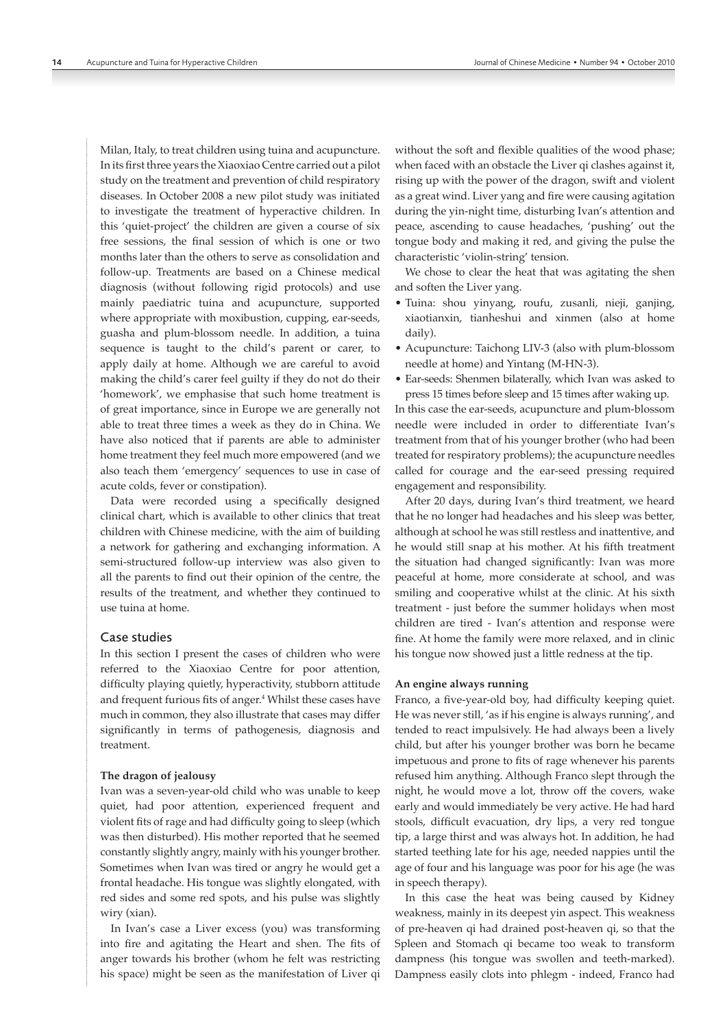Milan, Italy, to treat children using tuina and acupuncture. In its first three years the Xiaoxiao Centre carried out a pilot study on the treatment and prevention of child respiratory diseases. In October 2008 a new pilot study was initiated to investigate the treatment of hyperactive children. In this 'quiet‑project' the children are given a course of six free sessions, the final session of which is one or two months later than the others to serve as consolidation and follow‑up. Treatments are based on a Chinese medical diagnosis (without following rigid protocols) and use mainly paediatric tuina and acupuncture, supported where appropriate with moxibustion, cupping, ear-seeds, guasha and plum‑blossom needle. In addition, a tuina sequence is taught to the child's parent or carer, to apply daily at home. Although we are careful to avoid making the child's carer feel guilty if they do not do their 'homework', we emphasise that such home treatment is of great importance, since in Europe we are generally not able to treat three times a week as they do in China. We have also noticed that if parents are able to administer home treatment they feel much more empowered (and we also teach them 'emergency' sequences to use in case of acute colds, fever or constipation).

Data were recorded using a specifically designed clinical chart, which is available to other clinics that treat children with Chinese medicine, with the aim of building a network for gathering and exchanging information. A semi-structured follow-up interview was also given to all the parents to find out their opinion of the centre, the results of the treatment, and whether they continued to use tuina at home.

#### Case studies

In this section I present the cases of children who were referred to the Xiaoxiao Centre for poor attention, difficulty playing quietly, hyperactivity, stubborn attitude and frequent furious fits of anger.<sup>4</sup> Whilst these cases have much in common, they also illustrate that cases may differ significantly in terms of pathogenesis, diagnosis and treatment.

#### **The dragon of jealousy**

Ivan was a seven‑year‑old child who was unable to keep quiet, had poor attention, experienced frequent and violent fits of rage and had difficulty going to sleep (which was then disturbed). His mother reported that he seemed constantly slightly angry, mainly with his younger brother. Sometimes when Ivan was tired or angry he would get a frontal headache. His tongue was slightly elongated, with red sides and some red spots, and his pulse was slightly wiry (xian).

In Ivan's case a Liver excess (you) was transforming into fire and agitating the Heart and shen. The fits of anger towards his brother (whom he felt was restricting his space) might be seen as the manifestation of Liver qi without the soft and flexible qualities of the wood phase; when faced with an obstacle the Liver qi clashes against it, rising up with the power of the dragon, swift and violent as a great wind. Liver yang and fire were causing agitation during the yin-night time, disturbing Ivan's attention and peace, ascending to cause headaches, 'pushing' out the tongue body and making it red, and giving the pulse the characteristic 'violin‑string' tension.

We chose to clear the heat that was agitating the shen and soften the Liver yang.

- Tuina: shou yinyang, roufu, zusanli, nieji, ganjing, xiaotianxin, tianheshui and xinmen (also at home daily).
- Acupuncture: Taichong LIV‑3 (also with plum‑blossom needle at home) and Yintang (M‑HN‑3).
- Ear‑seeds: Shenmen bilaterally, which Ivan was asked to press 15 times before sleep and 15 times after waking up.

In this case the ear‑seeds, acupuncture and plum‑blossom needle were included in order to differentiate Ivan's treatment from that of his younger brother (who had been treated for respiratory problems); the acupuncture needles called for courage and the ear-seed pressing required engagement and responsibility.

After 20 days, during Ivan's third treatment, we heard that he no longer had headaches and his sleep was better, although at school he was still restless and inattentive, and he would still snap at his mother. At his fifth treatment the situation had changed significantly: Ivan was more peaceful at home, more considerate at school, and was smiling and cooperative whilst at the clinic. At his sixth treatment ‑ just before the summer holidays when most children are tired ‑ Ivan's attention and response were fine. At home the family were more relaxed, and in clinic his tongue now showed just a little redness at the tip.

#### **An engine always running**

Franco, a five-year-old boy, had difficulty keeping quiet. He was never still, 'as if his engine is always running', and tended to react impulsively. He had always been a lively child, but after his younger brother was born he became impetuous and prone to fits of rage whenever his parents refused him anything. Although Franco slept through the night, he would move a lot, throw off the covers, wake early and would immediately be very active. He had hard stools, difficult evacuation, dry lips, a very red tongue tip, a large thirst and was always hot. In addition, he had started teething late for his age, needed nappies until the age of four and his language was poor for his age (he was in speech therapy).

In this case the heat was being caused by Kidney weakness, mainly in its deepest yin aspect. This weakness of pre‑heaven qi had drained post‑heaven qi, so that the Spleen and Stomach qi became too weak to transform dampness (his tongue was swollen and teeth-marked). Dampness easily clots into phlegm ‑ indeed, Franco had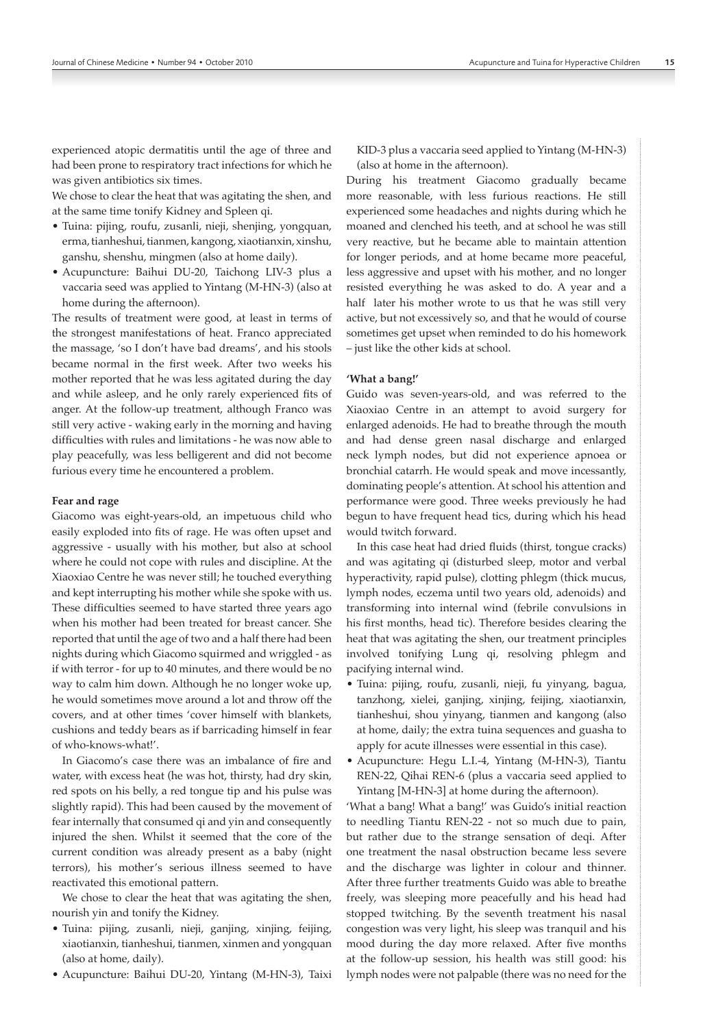experienced atopic dermatitis until the age of three and had been prone to respiratory tract infections for which he was given antibiotics six times.

We chose to clear the heat that was agitating the shen, and at the same time tonify Kidney and Spleen qi.

- Tuina: pijing, roufu, zusanli, nieji, shenjing, yongquan, erma, tianheshui, tianmen, kangong, xiaotianxin, xinshu, ganshu, shenshu, mingmen (also at home daily).
- Acupuncture: Baihui DU‑20, Taichong LIV‑3 plus a vaccaria seed was applied to Yintang (M‑HN‑3) (also at home during the afternoon).

The results of treatment were good, at least in terms of the strongest manifestations of heat. Franco appreciated the massage, 'so I don't have bad dreams', and his stools became normal in the first week. After two weeks his mother reported that he was less agitated during the day and while asleep, and he only rarely experienced fits of anger. At the follow‑up treatment, although Franco was still very active ‑ waking early in the morning and having difficulties with rules and limitations ‑ he was now able to play peacefully, was less belligerent and did not become furious every time he encountered a problem.

#### **Fear and rage**

Giacomo was eight‑years‑old, an impetuous child who easily exploded into fits of rage. He was often upset and aggressive ‑ usually with his mother, but also at school where he could not cope with rules and discipline. At the Xiaoxiao Centre he was never still; he touched everything and kept interrupting his mother while she spoke with us. These difficulties seemed to have started three years ago when his mother had been treated for breast cancer. She reported that until the age of two and a half there had been nights during which Giacomo squirmed and wriggled ‑ as if with terror ‑ for up to 40 minutes, and there would be no way to calm him down. Although he no longer woke up, he would sometimes move around a lot and throw off the covers, and at other times 'cover himself with blankets, cushions and teddy bears as if barricading himself in fear of who‑knows‑what!'.

In Giacomo's case there was an imbalance of fire and water, with excess heat (he was hot, thirsty, had dry skin, red spots on his belly, a red tongue tip and his pulse was slightly rapid). This had been caused by the movement of fear internally that consumed qi and yin and consequently injured the shen. Whilst it seemed that the core of the current condition was already present as a baby (night terrors), his mother's serious illness seemed to have reactivated this emotional pattern.

We chose to clear the heat that was agitating the shen, nourish yin and tonify the Kidney.

- Tuina: pijing, zusanli, nieji, ganjing, xinjing, feijing, xiaotianxin, tianheshui, tianmen, xinmen and yongquan (also at home, daily).
- Acupuncture: Baihui DU‑20, Yintang (M‑HN‑3), Taixi

KID-3 plus a vaccaria seed applied to Yintang (M-HN-3) (also at home in the afternoon).

During his treatment Giacomo gradually became more reasonable, with less furious reactions. He still experienced some headaches and nights during which he moaned and clenched his teeth, and at school he was still very reactive, but he became able to maintain attention for longer periods, and at home became more peaceful, less aggressive and upset with his mother, and no longer resisted everything he was asked to do. A year and a half later his mother wrote to us that he was still very active, but not excessively so, and that he would of course sometimes get upset when reminded to do his homework – just like the other kids at school.

#### **'What a bang!'**

Guido was seven‑years‑old, and was referred to the Xiaoxiao Centre in an attempt to avoid surgery for enlarged adenoids. He had to breathe through the mouth and had dense green nasal discharge and enlarged neck lymph nodes, but did not experience apnoea or bronchial catarrh. He would speak and move incessantly, dominating people's attention. At school his attention and performance were good. Three weeks previously he had begun to have frequent head tics, during which his head would twitch forward.

In this case heat had dried fluids (thirst, tongue cracks) and was agitating qi (disturbed sleep, motor and verbal hyperactivity, rapid pulse), clotting phlegm (thick mucus, lymph nodes, eczema until two years old, adenoids) and transforming into internal wind (febrile convulsions in his first months, head tic). Therefore besides clearing the heat that was agitating the shen, our treatment principles involved tonifying Lung qi, resolving phlegm and pacifying internal wind.

- Tuina: pijing, roufu, zusanli, nieji, fu yinyang, bagua, tanzhong, xielei, ganjing, xinjing, feijing, xiaotianxin, tianheshui, shou yinyang, tianmen and kangong (also at home, daily; the extra tuina sequences and guasha to apply for acute illnesses were essential in this case).
- Acupuncture: Hegu L.I.‑4, Yintang (M‑HN‑3), Tiantu REN‑22, Qihai REN‑6 (plus a vaccaria seed applied to Yintang [M-HN-3] at home during the afternoon).

'What a bang! What a bang!' was Guido's initial reaction to needling Tiantu REN‑22 ‑ not so much due to pain, but rather due to the strange sensation of deqi. After one treatment the nasal obstruction became less severe and the discharge was lighter in colour and thinner. After three further treatments Guido was able to breathe freely, was sleeping more peacefully and his head had stopped twitching. By the seventh treatment his nasal congestion was very light, his sleep was tranquil and his mood during the day more relaxed. After five months at the follow‑up session, his health was still good: his lymph nodes were not palpable (there was no need for the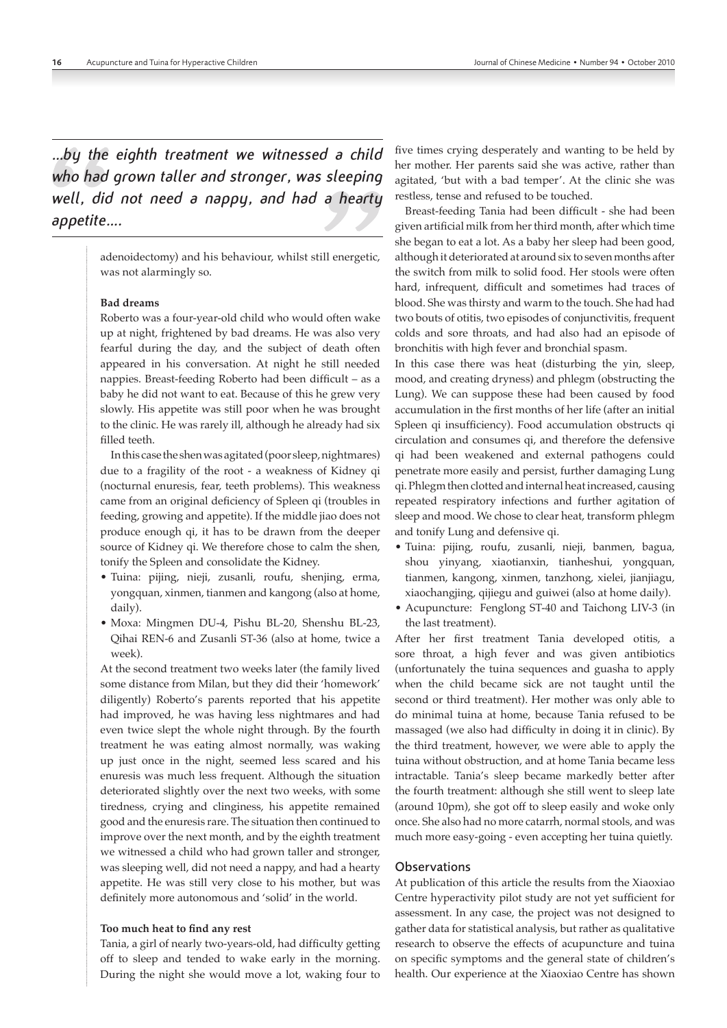*…by the eighth treatment we witnessed a child who had grown taller and stronger, was sleeping well, did not need a nappy, and had a hearty appetite….*

> adenoidectomy) and his behaviour, whilst still energetic, was not alarmingly so.

#### **Bad dreams**

Roberto was a four‑year‑old child who would often wake up at night, frightened by bad dreams. He was also very fearful during the day, and the subject of death often appeared in his conversation. At night he still needed nappies. Breast‑feeding Roberto had been difficult – as a baby he did not want to eat. Because of this he grew very slowly. His appetite was still poor when he was brought to the clinic. He was rarely ill, although he already had six filled teeth.

In this case the shen was agitated (poor sleep, nightmares) due to a fragility of the root ‑ a weakness of Kidney qi (nocturnal enuresis, fear, teeth problems). This weakness came from an original deficiency of Spleen qi (troubles in feeding, growing and appetite). If the middle jiao does not produce enough qi, it has to be drawn from the deeper source of Kidney qi. We therefore chose to calm the shen, tonify the Spleen and consolidate the Kidney.

- Tuina: pijing, nieji, zusanli, roufu, shenjing, erma, yongquan, xinmen, tianmen and kangong (also at home, daily).
- Moxa: Mingmen DU‑4, Pishu BL‑20, Shenshu BL‑23, Qihai REN‑6 and Zusanli ST‑36 (also at home, twice a week).

At the second treatment two weeks later (the family lived some distance from Milan, but they did their 'homework' diligently) Roberto's parents reported that his appetite had improved, he was having less nightmares and had even twice slept the whole night through. By the fourth treatment he was eating almost normally, was waking up just once in the night, seemed less scared and his enuresis was much less frequent. Although the situation deteriorated slightly over the next two weeks, with some tiredness, crying and clinginess, his appetite remained good and the enuresis rare. The situation then continued to improve over the next month, and by the eighth treatment we witnessed a child who had grown taller and stronger, was sleeping well, did not need a nappy, and had a hearty appetite. He was still very close to his mother, but was definitely more autonomous and 'solid' in the world.

#### **Too much heat to find any rest**

Tania, a girl of nearly two‑years‑old, had difficulty getting off to sleep and tended to wake early in the morning. During the night she would move a lot, waking four to five times crying desperately and wanting to be held by her mother. Her parents said she was active, rather than agitated, 'but with a bad temper'. At the clinic she was restless, tense and refused to be touched.

Breast‑feeding Tania had been difficult ‑ she had been given artificial milk from her third month, after which time she began to eat a lot. As a baby her sleep had been good, although it deteriorated at around six to seven months after the switch from milk to solid food. Her stools were often hard, infrequent, difficult and sometimes had traces of blood. She was thirsty and warm to the touch. She had had two bouts of otitis, two episodes of conjunctivitis, frequent colds and sore throats, and had also had an episode of bronchitis with high fever and bronchial spasm.

In this case there was heat (disturbing the yin, sleep, mood, and creating dryness) and phlegm (obstructing the Lung). We can suppose these had been caused by food accumulation in the first months of her life (after an initial Spleen qi insufficiency). Food accumulation obstructs qi circulation and consumes qi, and therefore the defensive qi had been weakened and external pathogens could penetrate more easily and persist, further damaging Lung qi. Phlegm then clotted and internal heat increased, causing repeated respiratory infections and further agitation of sleep and mood. We chose to clear heat, transform phlegm and tonify Lung and defensive qi.

- Tuina: pijing, roufu, zusanli, nieji, banmen, bagua, shou yinyang, xiaotianxin, tianheshui, yongquan, tianmen, kangong, xinmen, tanzhong, xielei, jianjiagu, xiaochangjing, qijiegu and guiwei (also at home daily).
- Acupuncture: Fenglong ST‑40 and Taichong LIV‑3 (in the last treatment).

After her first treatment Tania developed otitis, a sore throat, a high fever and was given antibiotics (unfortunately the tuina sequences and guasha to apply when the child became sick are not taught until the second or third treatment). Her mother was only able to do minimal tuina at home, because Tania refused to be massaged (we also had difficulty in doing it in clinic). By the third treatment, however, we were able to apply the tuina without obstruction, and at home Tania became less intractable. Tania's sleep became markedly better after the fourth treatment: although she still went to sleep late (around 10pm), she got off to sleep easily and woke only once. She also had no more catarrh, normal stools, and was much more easy‑going ‑ even accepting her tuina quietly.

#### **Observations**

At publication of this article the results from the Xiaoxiao Centre hyperactivity pilot study are not yet sufficient for assessment. In any case, the project was not designed to gather data for statistical analysis, but rather as qualitative research to observe the effects of acupuncture and tuina on specific symptoms and the general state of children's health. Our experience at the Xiaoxiao Centre has shown